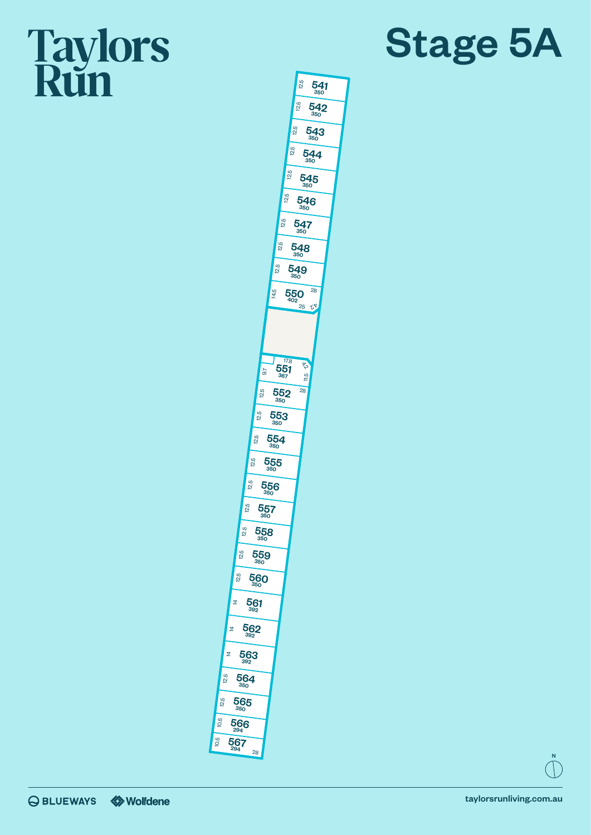## **Taylors**<br>Run





 $\vec{z}$ 

12.5

12.5

10.5 10.5

N